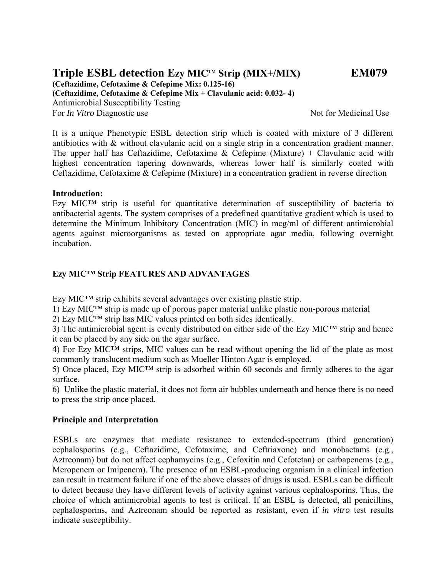# Triple ESBL detection Ezy MIC<sup>™</sup> Strip (MIX+/MIX) EM079

**(Ceftazidime, Cefotaxime & Cefepime Mix: 0.125-16)** 

**(Ceftazidime, Cefotaxime & Cefepime Mix + Clavulanic acid: 0.032- 4)**  Antimicrobial Susceptibility Testing For *In Vitro* Diagnostic use Not for Medicinal Use

It is a unique Phenotypic ESBL detection strip which is coated with mixture of 3 different antibiotics with & without clavulanic acid on a single strip in a concentration gradient manner. The upper half has Ceftazidime, Cefotaxime & Cefepime (Mixture) + Clavulanic acid with highest concentration tapering downwards, whereas lower half is similarly coated with Ceftazidime, Cefotaxime & Cefepime (Mixture) in a concentration gradient in reverse direction

### **Introduction:**

Ezy MIC™ strip is useful for quantitative determination of susceptibility of bacteria to antibacterial agents. The system comprises of a predefined quantitative gradient which is used to determine the Minimum Inhibitory Concentration (MIC) in mcg/ml of different antimicrobial agents against microorganisms as tested on appropriate agar media, following overnight incubation.

# **Ezy MIC™ Strip FEATURES AND ADVANTAGES**

Ezy MIC™ strip exhibits several advantages over existing plastic strip.

1) Ezy MIC™ strip is made up of porous paper material unlike plastic non-porous material

2) Ezy MIC™ strip has MIC values printed on both sides identically.

3) The antimicrobial agent is evenly distributed on either side of the Ezy MIC™ strip and hence it can be placed by any side on the agar surface.

4) For Ezy MIC™ strips, MIC values can be read without opening the lid of the plate as most commonly translucent medium such as Mueller Hinton Agar is employed.

5) Once placed, Ezy MIC™ strip is adsorbed within 60 seconds and firmly adheres to the agar surface.

6) Unlike the plastic material, it does not form air bubbles underneath and hence there is no need to press the strip once placed.

### **Principle and Interpretation**

 ESBLs are enzymes that mediate resistance to extended-spectrum (third generation) cephalosporins (e.g., Ceftazidime, Cefotaxime, and Ceftriaxone) and monobactams (e.g., Aztreonam) but do not affect cephamycins (e.g., Cefoxitin and Cefotetan) or carbapenems (e.g., Meropenem or Imipenem). The presence of an ESBL-producing organism in a clinical infection can result in treatment failure if one of the above classes of drugs is used. ESBLs can be difficult to detect because they have different levels of activity against various cephalosporins. Thus, the choice of which antimicrobial agents to test is critical. If an ESBL is detected, all penicillins, cephalosporins, and Aztreonam should be reported as resistant, even if *in vitro* test results indicate susceptibility.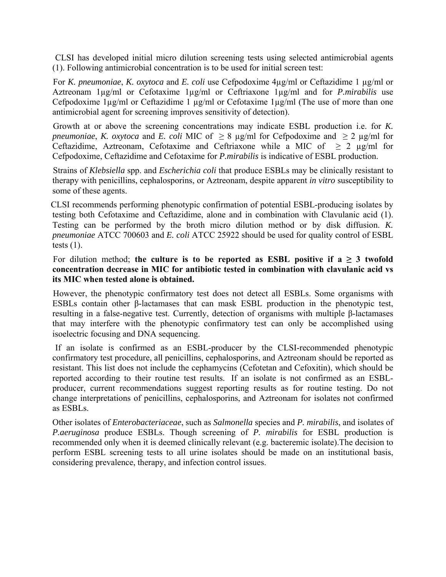CLSI has developed initial micro dilution screening tests using selected antimicrobial agents (1). Following antimicrobial concentration is to be used for initial screen test:

 For *K. pneumoniae*, *K. oxytoca* and *E. coli* use Cefpodoxime 4µg/ml or Ceftazidime 1 µg/ml or Aztreonam 1µg/ml or Cefotaxime 1µg/ml or Ceftriaxone 1µg/ml and for *P.mirabilis* use Cefpodoxime 1µg/ml or Ceftazidime 1 µg/ml or Cefotaxime 1µg/ml (The use of more than one antimicrobial agent for screening improves sensitivity of detection).

 Growth at or above the screening concentrations may indicate ESBL production i.e. for *K. pneumoniae, K. oxytoca* and *E. coli* MIC of  $\geq 8$  µg/ml for Cefpodoxime and  $\geq 2$  µg/ml for Ceftazidime, Aztreonam, Cefotaxime and Ceftriaxone while a MIC of  $\geq 2$  µg/ml for Cefpodoxime, Ceftazidime and Cefotaxime for *P.mirabilis* is indicative of ESBL production.

 Strains of *Klebsiella* spp. and *Escherichia coli* that produce ESBLs may be clinically resistant to therapy with penicillins, cephalosporins, or Aztreonam, despite apparent *in vitro* susceptibility to some of these agents.

 CLSI recommends performing phenotypic confirmation of potential ESBL-producing isolates by testing both Cefotaxime and Ceftazidime, alone and in combination with Clavulanic acid (1). Testing can be performed by the broth micro dilution method or by disk diffusion. *K. pneumoniae* ATCC 700603 and *E. coli* ATCC 25922 should be used for quality control of ESBL tests  $(1)$ .

For dilution method; the culture is to be reported as ESBL positive if  $a \ge 3$  twofold **concentration decrease in MIC for antibiotic tested in combination with clavulanic acid vs its MIC when tested alone is obtained.** 

 However, the phenotypic confirmatory test does not detect all ESBLs. Some organisms with ESBLs contain other β-lactamases that can mask ESBL production in the phenotypic test, resulting in a false-negative test. Currently, detection of organisms with multiple β-lactamases that may interfere with the phenotypic confirmatory test can only be accomplished using isoelectric focusing and DNA sequencing.

 If an isolate is confirmed as an ESBL-producer by the CLSI-recommended phenotypic confirmatory test procedure, all penicillins, cephalosporins, and Aztreonam should be reported as resistant. This list does not include the cephamycins (Cefotetan and Cefoxitin), which should be reported according to their routine test results. If an isolate is not confirmed as an ESBLproducer, current recommendations suggest reporting results as for routine testing. Do not change interpretations of penicillins, cephalosporins, and Aztreonam for isolates not confirmed as ESBLs.

Other isolates of *Enterobacteriaceae*, such as *Salmonella* species and *P. mirabilis*, and isolates of *P.aeruginosa* produce ESBLs. Though screening of *P. mirabilis* for ESBL production is recommended only when it is deemed clinically relevant (e.g. bacteremic isolate).The decision to perform ESBL screening tests to all urine isolates should be made on an institutional basis, considering prevalence, therapy, and infection control issues.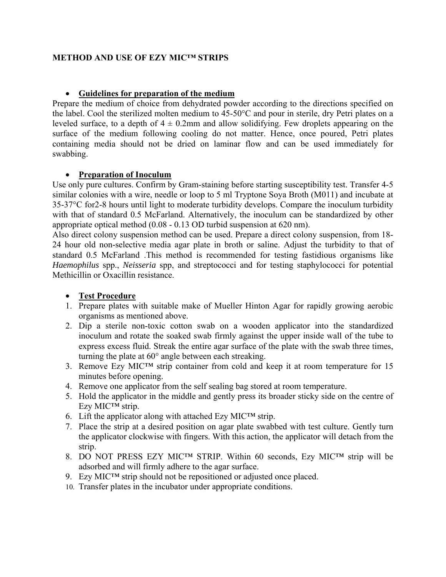# **METHOD AND USE OF EZY MIC™ STRIPS**

# **Guidelines for preparation of the medium**

Prepare the medium of choice from dehydrated powder according to the directions specified on the label. Cool the sterilized molten medium to 45-50°C and pour in sterile, dry Petri plates on a leveled surface, to a depth of  $4 \pm 0.2$ mm and allow solidifying. Few droplets appearing on the surface of the medium following cooling do not matter. Hence, once poured, Petri plates containing media should not be dried on laminar flow and can be used immediately for swabbing.

### **Preparation of Inoculum**

Use only pure cultures. Confirm by Gram-staining before starting susceptibility test. Transfer 4-5 similar colonies with a wire, needle or loop to 5 ml Tryptone Soya Broth (M011) and incubate at 35-37°C for2-8 hours until light to moderate turbidity develops. Compare the inoculum turbidity with that of standard 0.5 McFarland. Alternatively, the inoculum can be standardized by other appropriate optical method (0.08 - 0.13 OD turbid suspension at 620 nm).

Also direct colony suspension method can be used. Prepare a direct colony suspension, from 18- 24 hour old non-selective media agar plate in broth or saline. Adjust the turbidity to that of standard 0.5 McFarland .This method is recommended for testing fastidious organisms like *Haemophilus* spp., *Neisseria* spp, and streptococci and for testing staphylococci for potential Methicillin or Oxacillin resistance.

# **Test Procedure**

- 1. Prepare plates with suitable make of Mueller Hinton Agar for rapidly growing aerobic organisms as mentioned above.
- 2. Dip a sterile non-toxic cotton swab on a wooden applicator into the standardized inoculum and rotate the soaked swab firmly against the upper inside wall of the tube to express excess fluid. Streak the entire agar surface of the plate with the swab three times, turning the plate at 60° angle between each streaking.
- 3. Remove Ezy MIC™ strip container from cold and keep it at room temperature for 15 minutes before opening.
- 4. Remove one applicator from the self sealing bag stored at room temperature.
- 5. Hold the applicator in the middle and gently press its broader sticky side on the centre of Ezy MIC™ strip.
- 6. Lift the applicator along with attached Ezy MIC<sup>TM</sup> strip.
- 7. Place the strip at a desired position on agar plate swabbed with test culture. Gently turn the applicator clockwise with fingers. With this action, the applicator will detach from the strip.
- 8. DO NOT PRESS EZY MIC™ STRIP. Within 60 seconds, Ezy MIC™ strip will be adsorbed and will firmly adhere to the agar surface.
- 9. Ezy MIC<sup>TM</sup> strip should not be repositioned or adjusted once placed.
- 10. Transfer plates in the incubator under appropriate conditions.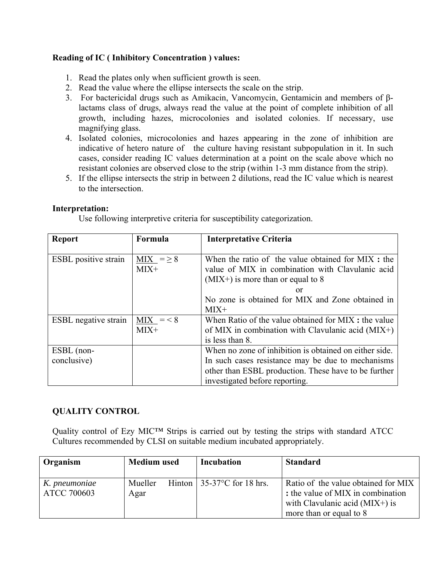# **Reading of IC ( Inhibitory Concentration ) values:**

- 1. Read the plates only when sufficient growth is seen.
- 2. Read the value where the ellipse intersects the scale on the strip.
- 3. For bactericidal drugs such as Amikacin, Vancomycin, Gentamicin and members of βlactams class of drugs, always read the value at the point of complete inhibition of all growth, including hazes, microcolonies and isolated colonies. If necessary, use magnifying glass.
- 4. Isolated colonies, microcolonies and hazes appearing in the zone of inhibition are indicative of hetero nature of the culture having resistant subpopulation in it. In such cases, consider reading IC values determination at a point on the scale above which no resistant colonies are observed close to the strip (within 1-3 mm distance from the strip).
- 5. If the ellipse intersects the strip in between 2 dilutions, read the IC value which is nearest to the intersection.

#### **Interpretation:**

Use following interpretive criteria for susceptibility categorization.

| <b>Report</b>               | Formula        | <b>Interpretative Criteria</b>                         |  |
|-----------------------------|----------------|--------------------------------------------------------|--|
|                             |                |                                                        |  |
| <b>ESBL</b> positive strain | $MIX = \geq 8$ | When the ratio of the value obtained for MIX : the     |  |
|                             | $MIX+$         | value of MIX in combination with Clavulanic acid       |  |
|                             |                | $(MIX+)$ is more than or equal to 8                    |  |
|                             |                | or                                                     |  |
|                             |                | No zone is obtained for MIX and Zone obtained in       |  |
|                             |                | $MIX+$                                                 |  |
| <b>ESBL</b> negative strain | $MIX = < 8$    | When Ratio of the value obtained for MIX : the value   |  |
|                             | $MIX+$         | of MIX in combination with Clavulanic acid $(MIX+)$    |  |
|                             |                | is less than 8.                                        |  |
| ESBL (non-                  |                | When no zone of inhibition is obtained on either side. |  |
| conclusive)                 |                | In such cases resistance may be due to mechanisms      |  |
|                             |                | other than ESBL production. These have to be further   |  |
|                             |                | investigated before reporting.                         |  |

### **QUALITY CONTROL**

Quality control of Ezy MIC™ Strips is carried out by testing the strips with standard ATCC Cultures recommended by CLSI on suitable medium incubated appropriately.

| Organism                            | <b>Medium</b> used | Incubation                         | <b>Standard</b>                                                                                                                         |
|-------------------------------------|--------------------|------------------------------------|-----------------------------------------------------------------------------------------------------------------------------------------|
| K. pneumoniae<br><b>ATCC 700603</b> | Mueller<br>Agar    | Hinton $\vert$ 35-37°C for 18 hrs. | Ratio of the value obtained for MIX<br>: the value of MIX in combination<br>with Clavulanic acid $(MIX+)$ is<br>more than or equal to 8 |